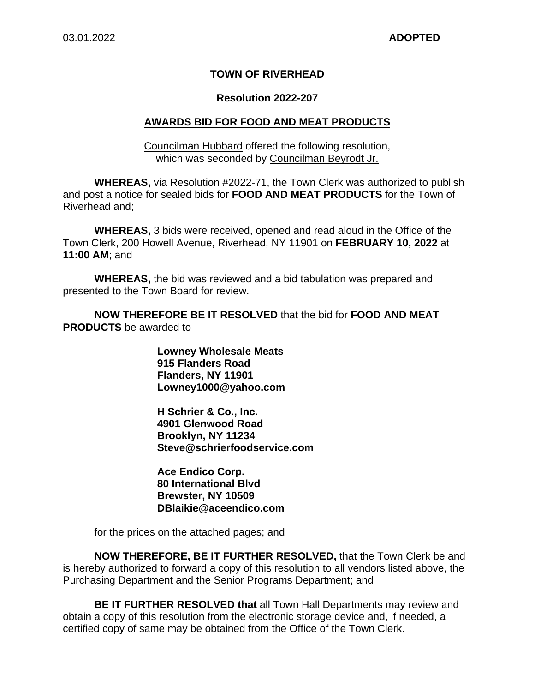### **TOWN OF RIVERHEAD**

#### **Resolution 2022-207**

#### **AWARDS BID FOR FOOD AND MEAT PRODUCTS**

Councilman Hubbard offered the following resolution, which was seconded by Councilman Beyrodt Jr.

**WHEREAS,** via Resolution #2022-71, the Town Clerk was authorized to publish and post a notice for sealed bids for **FOOD AND MEAT PRODUCTS** for the Town of Riverhead and;

**WHEREAS,** 3 bids were received, opened and read aloud in the Office of the Town Clerk, 200 Howell Avenue, Riverhead, NY 11901 on **FEBRUARY 10, 2022** at **11:00 AM**; and

**WHEREAS,** the bid was reviewed and a bid tabulation was prepared and presented to the Town Board for review.

**NOW THEREFORE BE IT RESOLVED** that the bid for **FOOD AND MEAT PRODUCTS** be awarded to

> **Lowney Wholesale Meats 915 Flanders Road Flanders, NY 11901 Lowney1000@yahoo.com**

**H Schrier & Co., Inc. 4901 Glenwood Road Brooklyn, NY 11234 Steve@schrierfoodservice.com** 

**Ace Endico Corp. 80 International Blvd Brewster, NY 10509 DBlaikie@aceendico.com** 

for the prices on the attached pages; and

**NOW THEREFORE, BE IT FURTHER RESOLVED,** that the Town Clerk be and is hereby authorized to forward a copy of this resolution to all vendors listed above, the Purchasing Department and the Senior Programs Department; and

**BE IT FURTHER RESOLVED that** all Town Hall Departments may review and obtain a copy of this resolution from the electronic storage device and, if needed, a certified copy of same may be obtained from the Office of the Town Clerk.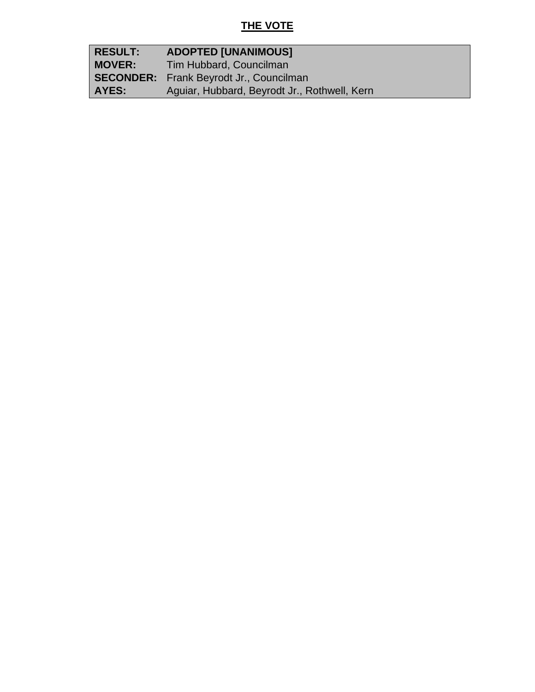# **THE VOTE**

| <b>RESULT:</b> | <b>ADOPTED [UNANIMOUS]</b>                     |
|----------------|------------------------------------------------|
| <b>MOVER:</b>  | Tim Hubbard, Councilman                        |
|                | <b>SECONDER:</b> Frank Beyrodt Jr., Councilman |
| AYES:          | Aguiar, Hubbard, Beyrodt Jr., Rothwell, Kern   |